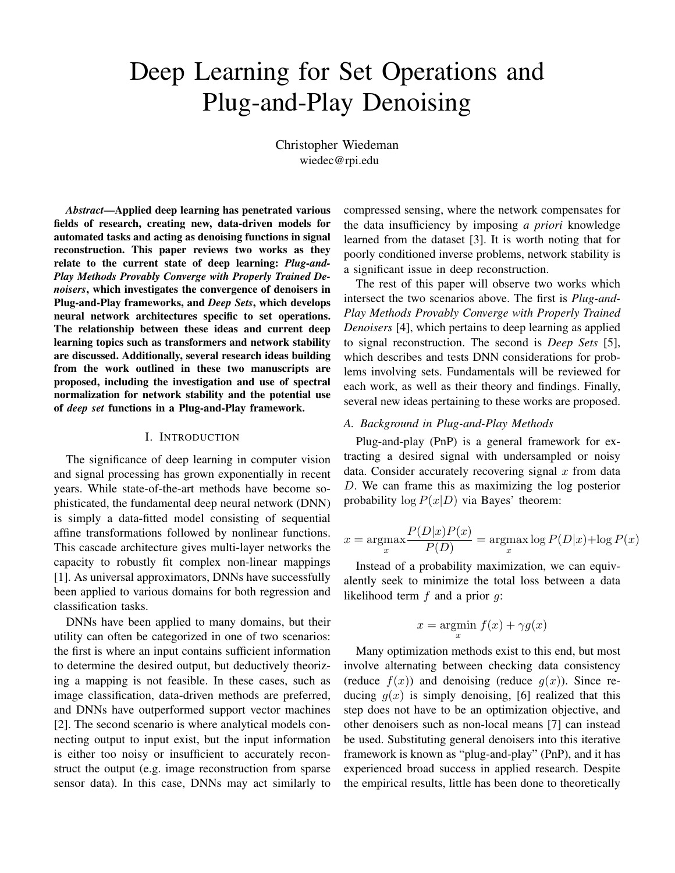# Deep Learning for Set Operations and Plug-and-Play Denoising

Christopher Wiedeman wiedec@rpi.edu

*Abstract*—Applied deep learning has penetrated various fields of research, creating new, data-driven models for automated tasks and acting as denoising functions in signal reconstruction. This paper reviews two works as they relate to the current state of deep learning: *Plug-and-Play Methods Provably Converge with Properly Trained Denoisers*, which investigates the convergence of denoisers in Plug-and-Play frameworks, and *Deep Sets*, which develops neural network architectures specific to set operations. The relationship between these ideas and current deep learning topics such as transformers and network stability are discussed. Additionally, several research ideas building from the work outlined in these two manuscripts are proposed, including the investigation and use of spectral normalization for network stability and the potential use of *deep set* functions in a Plug-and-Play framework.

#### I. INTRODUCTION

The significance of deep learning in computer vision and signal processing has grown exponentially in recent years. While state-of-the-art methods have become sophisticated, the fundamental deep neural network (DNN) is simply a data-fitted model consisting of sequential affine transformations followed by nonlinear functions. This cascade architecture gives multi-layer networks the capacity to robustly fit complex non-linear mappings [1]. As universal approximators, DNNs have successfully been applied to various domains for both regression and classification tasks.

DNNs have been applied to many domains, but their utility can often be categorized in one of two scenarios: the first is where an input contains sufficient information to determine the desired output, but deductively theorizing a mapping is not feasible. In these cases, such as image classification, data-driven methods are preferred, and DNNs have outperformed support vector machines [2]. The second scenario is where analytical models connecting output to input exist, but the input information is either too noisy or insufficient to accurately reconstruct the output (e.g. image reconstruction from sparse sensor data). In this case, DNNs may act similarly to

compressed sensing, where the network compensates for the data insufficiency by imposing *a priori* knowledge learned from the dataset [3]. It is worth noting that for poorly conditioned inverse problems, network stability is a significant issue in deep reconstruction.

The rest of this paper will observe two works which intersect the two scenarios above. The first is *Plug-and-Play Methods Provably Converge with Properly Trained Denoisers* [4], which pertains to deep learning as applied to signal reconstruction. The second is *Deep Sets* [5], which describes and tests DNN considerations for problems involving sets. Fundamentals will be reviewed for each work, as well as their theory and findings. Finally, several new ideas pertaining to these works are proposed.

## *A. Background in Plug-and-Play Methods*

Plug-and-play (PnP) is a general framework for extracting a desired signal with undersampled or noisy data. Consider accurately recovering signal  $x$  from data D. We can frame this as maximizing the log posterior probability  $\log P(x|D)$  via Bayes' theorem:

$$
x = \underset{x}{\operatorname{argmax}} \frac{P(D|x)P(x)}{P(D)} = \underset{x}{\operatorname{argmax}} \log P(D|x) + \log P(x)
$$

Instead of a probability maximization, we can equivalently seek to minimize the total loss between a data likelihood term  $f$  and a prior  $q$ :

$$
x = \operatorname*{argmin}_{x} f(x) + \gamma g(x)
$$

Many optimization methods exist to this end, but most involve alternating between checking data consistency (reduce  $f(x)$ ) and denoising (reduce  $g(x)$ ). Since reducing  $g(x)$  is simply denoising, [6] realized that this step does not have to be an optimization objective, and other denoisers such as non-local means [7] can instead be used. Substituting general denoisers into this iterative framework is known as "plug-and-play" (PnP), and it has experienced broad success in applied research. Despite the empirical results, little has been done to theoretically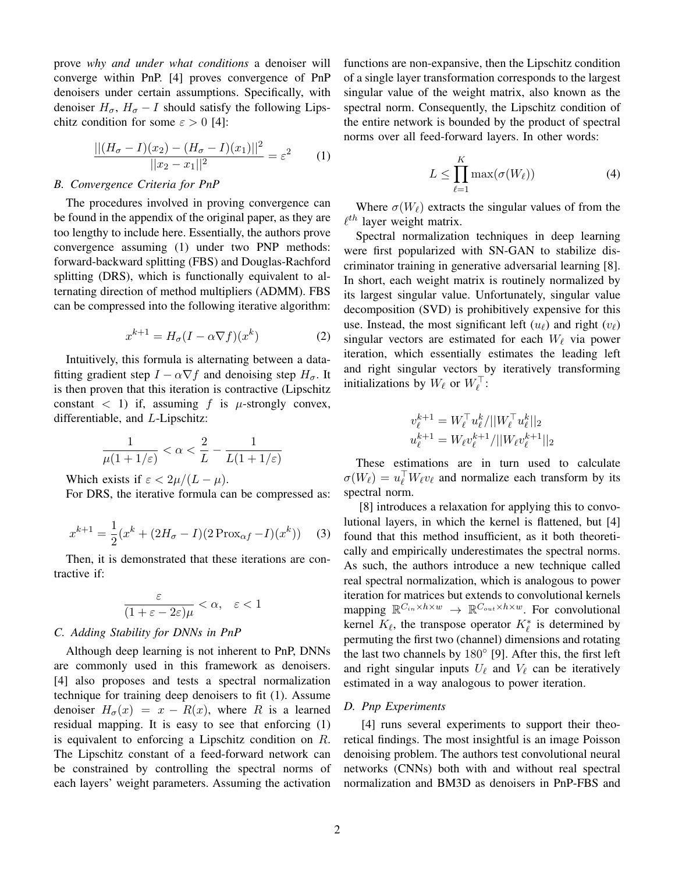prove *why and under what conditions* a denoiser will converge within PnP. [4] proves convergence of PnP denoisers under certain assumptions. Specifically, with denoiser  $H_{\sigma}$ ,  $H_{\sigma} - I$  should satisfy the following Lipschitz condition for some  $\varepsilon > 0$  [4]:

$$
\frac{||(H_{\sigma} - I)(x_2) - (H_{\sigma} - I)(x_1)||^2}{||x_2 - x_1||^2} = \varepsilon^2
$$
 (1)

#### *B. Convergence Criteria for PnP*

The procedures involved in proving convergence can be found in the appendix of the original paper, as they are too lengthy to include here. Essentially, the authors prove convergence assuming (1) under two PNP methods: forward-backward splitting (FBS) and Douglas-Rachford splitting (DRS), which is functionally equivalent to alternating direction of method multipliers (ADMM). FBS can be compressed into the following iterative algorithm:

$$
x^{k+1} = H_{\sigma}(I - \alpha \nabla f)(x^k)
$$
 (2)

Intuitively, this formula is alternating between a datafitting gradient step  $I - \alpha \nabla f$  and denoising step  $H_{\sigma}$ . It is then proven that this iteration is contractive (Lipschitz constant  $\langle 1 \rangle$  if, assuming f is  $\mu$ -strongly convex, differentiable, and L-Lipschitz:

$$
\frac{1}{\mu(1+1/\varepsilon)} < \alpha < \frac{2}{L} - \frac{1}{L(1+1/\varepsilon)}
$$

Which exists if  $\varepsilon < 2\mu/(L - \mu)$ .

For DRS, the iterative formula can be compressed as:

$$
x^{k+1} = \frac{1}{2}(x^k + (2H_{\sigma} - I)(2\operatorname{Prox}_{\alpha f} - I)(x^k))
$$
 (3)

Then, it is demonstrated that these iterations are contractive if:

$$
\frac{\varepsilon}{(1+\varepsilon-2\varepsilon)\mu} < \alpha, \quad \varepsilon < 1
$$

#### *C. Adding Stability for DNNs in PnP*

Although deep learning is not inherent to PnP, DNNs are commonly used in this framework as denoisers. [4] also proposes and tests a spectral normalization technique for training deep denoisers to fit (1). Assume denoiser  $H_{\sigma}(x) = x - R(x)$ , where R is a learned residual mapping. It is easy to see that enforcing (1) is equivalent to enforcing a Lipschitz condition on R. The Lipschitz constant of a feed-forward network can be constrained by controlling the spectral norms of each layers' weight parameters. Assuming the activation functions are non-expansive, then the Lipschitz condition of a single layer transformation corresponds to the largest singular value of the weight matrix, also known as the spectral norm. Consequently, the Lipschitz condition of the entire network is bounded by the product of spectral norms over all feed-forward layers. In other words:

$$
L \le \prod_{\ell=1}^{K} \max(\sigma(W_{\ell}))
$$
\n(4)

Where  $\sigma(W_\ell)$  extracts the singular values of from the  $\ell^{th}$  layer weight matrix.

Spectral normalization techniques in deep learning were first popularized with SN-GAN to stabilize discriminator training in generative adversarial learning [8]. In short, each weight matrix is routinely normalized by its largest singular value. Unfortunately, singular value decomposition (SVD) is prohibitively expensive for this use. Instead, the most significant left  $(u_\ell)$  and right  $(v_\ell)$ singular vectors are estimated for each  $W_\ell$  via power iteration, which essentially estimates the leading left and right singular vectors by iteratively transforming initializations by  $W_{\ell}$  or  $W_{\ell}^{\top}$ :

$$
v_{\ell}^{k+1} = W_{\ell}^{\top} u_{\ell}^{k} / ||W_{\ell}^{\top} u_{\ell}^{k}||_2
$$
  

$$
u_{\ell}^{k+1} = W_{\ell} v_{\ell}^{k+1} / ||W_{\ell} v_{\ell}^{k+1}||_2
$$

These estimations are in turn used to calculate  $\sigma(W_\ell) = u_\ell^{\top} W_\ell v_\ell$  and normalize each transform by its spectral norm.

[8] introduces a relaxation for applying this to convolutional layers, in which the kernel is flattened, but [4] found that this method insufficient, as it both theoretically and empirically underestimates the spectral norms. As such, the authors introduce a new technique called real spectral normalization, which is analogous to power iteration for matrices but extends to convolutional kernels mapping  $\mathbb{R}^{C_{in} \times h \times w} \rightarrow \mathbb{R}^{C_{out} \times h \times w}$ . For convolutional kernel  $K_{\ell}$ , the transpose operator  $K_{\ell}^*$  is determined by permuting the first two (channel) dimensions and rotating the last two channels by 180◦ [9]. After this, the first left and right singular inputs  $U_\ell$  and  $V_\ell$  can be iteratively estimated in a way analogous to power iteration.

## *D. Pnp Experiments*

[4] runs several experiments to support their theoretical findings. The most insightful is an image Poisson denoising problem. The authors test convolutional neural networks (CNNs) both with and without real spectral normalization and BM3D as denoisers in PnP-FBS and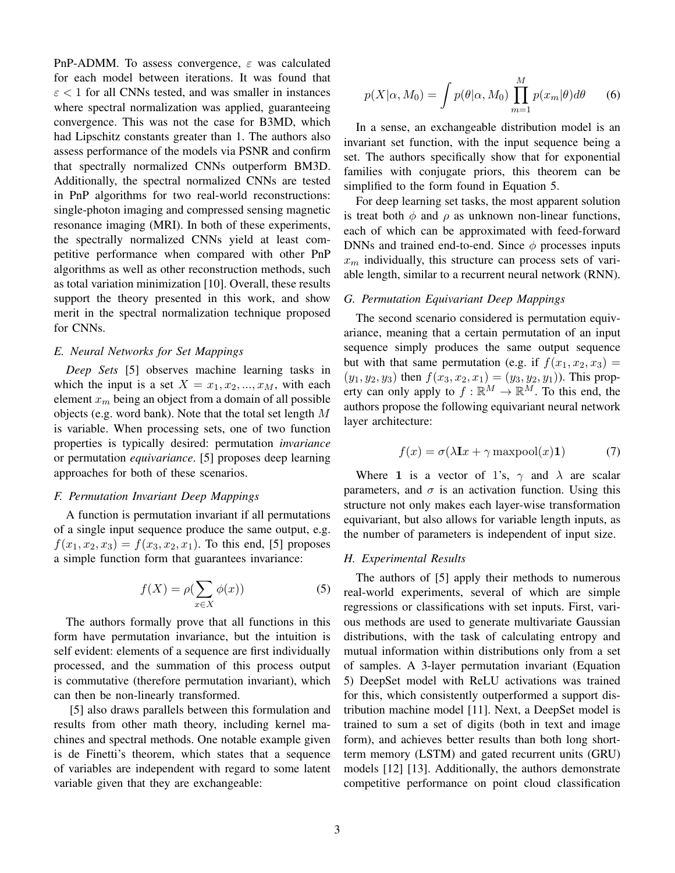PnP-ADMM. To assess convergence,  $\varepsilon$  was calculated for each model between iterations. It was found that  $\epsilon$  < 1 for all CNNs tested, and was smaller in instances where spectral normalization was applied, guaranteeing convergence. This was not the case for B3MD, which had Lipschitz constants greater than 1. The authors also assess performance of the models via PSNR and confirm that spectrally normalized CNNs outperform BM3D. Additionally, the spectral normalized CNNs are tested in PnP algorithms for two real-world reconstructions: single-photon imaging and compressed sensing magnetic resonance imaging (MRI). In both of these experiments, the spectrally normalized CNNs yield at least competitive performance when compared with other PnP algorithms as well as other reconstruction methods, such as total variation minimization [10]. Overall, these results support the theory presented in this work, and show merit in the spectral normalization technique proposed for CNNs.

## *E. Neural Networks for Set Mappings*

*Deep Sets* [5] observes machine learning tasks in which the input is a set  $X = x_1, x_2, ..., x_M$ , with each element  $x_m$  being an object from a domain of all possible objects (e.g. word bank). Note that the total set length  $M$ is variable. When processing sets, one of two function properties is typically desired: permutation *invariance* or permutation *equivariance*. [5] proposes deep learning approaches for both of these scenarios.

## *F. Permutation Invariant Deep Mappings*

A function is permutation invariant if all permutations of a single input sequence produce the same output, e.g.  $f(x_1, x_2, x_3) = f(x_3, x_2, x_1)$ . To this end, [5] proposes a simple function form that guarantees invariance:

$$
f(X) = \rho(\sum_{x \in X} \phi(x))
$$
 (5)

The authors formally prove that all functions in this form have permutation invariance, but the intuition is self evident: elements of a sequence are first individually processed, and the summation of this process output is commutative (therefore permutation invariant), which can then be non-linearly transformed.

[5] also draws parallels between this formulation and results from other math theory, including kernel machines and spectral methods. One notable example given is de Finetti's theorem, which states that a sequence of variables are independent with regard to some latent variable given that they are exchangeable:

$$
p(X|\alpha, M_0) = \int p(\theta|\alpha, M_0) \prod_{m=1}^{M} p(x_m|\theta) d\theta \qquad (6)
$$

In a sense, an exchangeable distribution model is an invariant set function, with the input sequence being a set. The authors specifically show that for exponential families with conjugate priors, this theorem can be simplified to the form found in Equation 5.

For deep learning set tasks, the most apparent solution is treat both  $\phi$  and  $\rho$  as unknown non-linear functions, each of which can be approximated with feed-forward DNNs and trained end-to-end. Since  $\phi$  processes inputs  $x_m$  individually, this structure can process sets of variable length, similar to a recurrent neural network (RNN).

#### *G. Permutation Equivariant Deep Mappings*

The second scenario considered is permutation equivariance, meaning that a certain permutation of an input sequence simply produces the same output sequence but with that same permutation (e.g. if  $f(x_1, x_2, x_3) =$  $(y_1, y_2, y_3)$  then  $f(x_3, x_2, x_1) = (y_3, y_2, y_1)$ ). This property can only apply to  $f : \mathbb{R}^M \to \mathbb{R}^M$ . To this end, the authors propose the following equivariant neural network layer architecture:

$$
f(x) = \sigma(\lambda \mathbf{I}x + \gamma \operatorname{maxpool}(x)\mathbf{1}) \tag{7}
$$

Where 1 is a vector of 1's,  $\gamma$  and  $\lambda$  are scalar parameters, and  $\sigma$  is an activation function. Using this structure not only makes each layer-wise transformation equivariant, but also allows for variable length inputs, as the number of parameters is independent of input size.

### *H. Experimental Results*

The authors of [5] apply their methods to numerous real-world experiments, several of which are simple regressions or classifications with set inputs. First, various methods are used to generate multivariate Gaussian distributions, with the task of calculating entropy and mutual information within distributions only from a set of samples. A 3-layer permutation invariant (Equation 5) DeepSet model with ReLU activations was trained for this, which consistently outperformed a support distribution machine model [11]. Next, a DeepSet model is trained to sum a set of digits (both in text and image form), and achieves better results than both long shortterm memory (LSTM) and gated recurrent units (GRU) models [12] [13]. Additionally, the authors demonstrate competitive performance on point cloud classification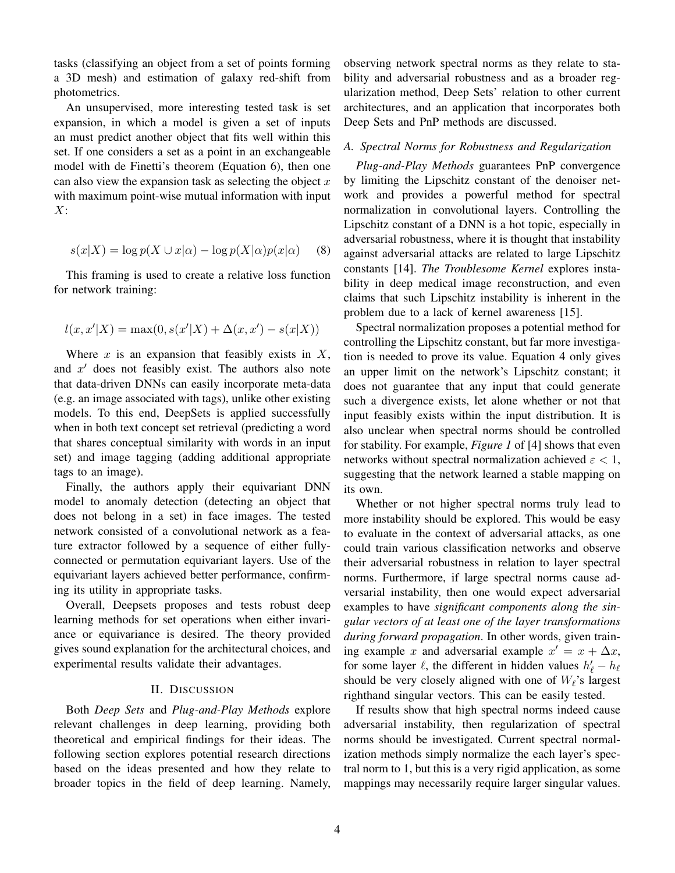tasks (classifying an object from a set of points forming a 3D mesh) and estimation of galaxy red-shift from photometrics.

An unsupervised, more interesting tested task is set expansion, in which a model is given a set of inputs an must predict another object that fits well within this set. If one considers a set as a point in an exchangeable model with de Finetti's theorem (Equation 6), then one can also view the expansion task as selecting the object  $x$ with maximum point-wise mutual information with input  $X:$ 

$$
s(x|X) = \log p(X \cup x|\alpha) - \log p(X|\alpha)p(x|\alpha) \quad (8)
$$

This framing is used to create a relative loss function for network training:

$$
l(x, x'|X) = \max(0, s(x'|X) + \Delta(x, x') - s(x|X))
$$

Where  $x$  is an expansion that feasibly exists in  $X$ , and  $x'$  does not feasibly exist. The authors also note that data-driven DNNs can easily incorporate meta-data (e.g. an image associated with tags), unlike other existing models. To this end, DeepSets is applied successfully when in both text concept set retrieval (predicting a word that shares conceptual similarity with words in an input set) and image tagging (adding additional appropriate tags to an image).

Finally, the authors apply their equivariant DNN model to anomaly detection (detecting an object that does not belong in a set) in face images. The tested network consisted of a convolutional network as a feature extractor followed by a sequence of either fullyconnected or permutation equivariant layers. Use of the equivariant layers achieved better performance, confirming its utility in appropriate tasks.

Overall, Deepsets proposes and tests robust deep learning methods for set operations when either invariance or equivariance is desired. The theory provided gives sound explanation for the architectural choices, and experimental results validate their advantages.

## II. DISCUSSION

Both *Deep Sets* and *Plug-and-Play Methods* explore relevant challenges in deep learning, providing both theoretical and empirical findings for their ideas. The following section explores potential research directions based on the ideas presented and how they relate to broader topics in the field of deep learning. Namely, observing network spectral norms as they relate to stability and adversarial robustness and as a broader regularization method, Deep Sets' relation to other current architectures, and an application that incorporates both Deep Sets and PnP methods are discussed.

## *A. Spectral Norms for Robustness and Regularization*

*Plug-and-Play Methods* guarantees PnP convergence by limiting the Lipschitz constant of the denoiser network and provides a powerful method for spectral normalization in convolutional layers. Controlling the Lipschitz constant of a DNN is a hot topic, especially in adversarial robustness, where it is thought that instability against adversarial attacks are related to large Lipschitz constants [14]. *The Troublesome Kernel* explores instability in deep medical image reconstruction, and even claims that such Lipschitz instability is inherent in the problem due to a lack of kernel awareness [15].

Spectral normalization proposes a potential method for controlling the Lipschitz constant, but far more investigation is needed to prove its value. Equation 4 only gives an upper limit on the network's Lipschitz constant; it does not guarantee that any input that could generate such a divergence exists, let alone whether or not that input feasibly exists within the input distribution. It is also unclear when spectral norms should be controlled for stability. For example, *Figure 1* of [4] shows that even networks without spectral normalization achieved  $\varepsilon < 1$ , suggesting that the network learned a stable mapping on its own.

Whether or not higher spectral norms truly lead to more instability should be explored. This would be easy to evaluate in the context of adversarial attacks, as one could train various classification networks and observe their adversarial robustness in relation to layer spectral norms. Furthermore, if large spectral norms cause adversarial instability, then one would expect adversarial examples to have *significant components along the singular vectors of at least one of the layer transformations during forward propagation*. In other words, given training example x and adversarial example  $x' = x + \Delta x$ , for some layer  $\ell$ , the different in hidden values  $h'_\ell - h_\ell$ should be very closely aligned with one of  $W_\ell$ 's largest righthand singular vectors. This can be easily tested.

If results show that high spectral norms indeed cause adversarial instability, then regularization of spectral norms should be investigated. Current spectral normalization methods simply normalize the each layer's spectral norm to 1, but this is a very rigid application, as some mappings may necessarily require larger singular values.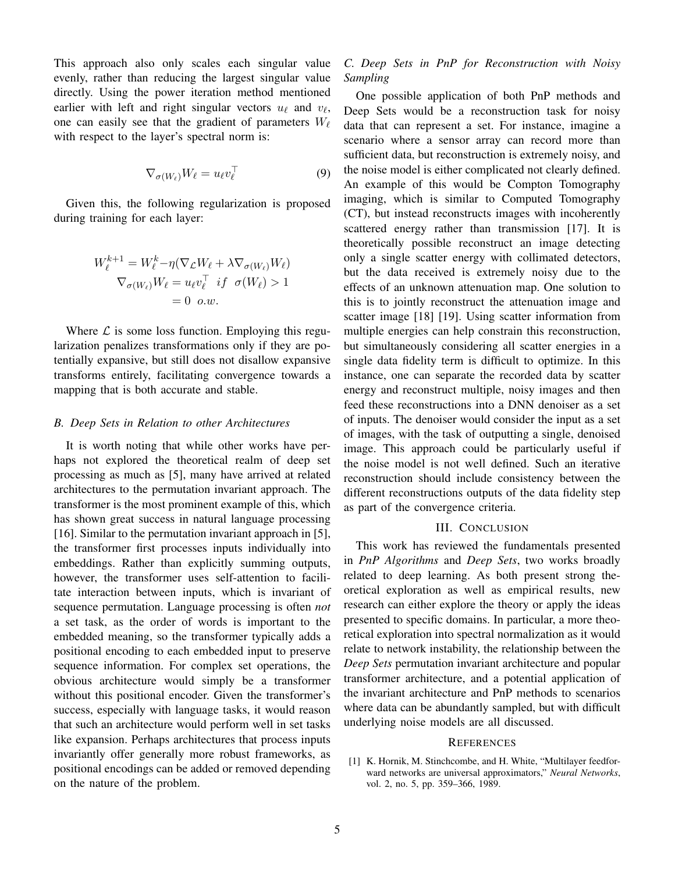This approach also only scales each singular value evenly, rather than reducing the largest singular value directly. Using the power iteration method mentioned earlier with left and right singular vectors  $u_\ell$  and  $v_\ell$ , one can easily see that the gradient of parameters  $W_\ell$ with respect to the layer's spectral norm is:

$$
\nabla_{\sigma(W_{\ell})} W_{\ell} = u_{\ell} v_{\ell}^{\top}
$$
 (9)

Given this, the following regularization is proposed during training for each layer:

$$
W_{\ell}^{k+1} = W_{\ell}^{k} - \eta (\nabla_{\mathcal{L}} W_{\ell} + \lambda \nabla_{\sigma(W_{\ell})} W_{\ell})
$$
  

$$
\nabla_{\sigma(W_{\ell})} W_{\ell} = u_{\ell} v_{\ell}^{\top} \quad \text{if} \quad \sigma(W_{\ell}) > 1
$$
  

$$
= 0 \quad o.w.
$$

Where  $\mathcal L$  is some loss function. Employing this regularization penalizes transformations only if they are potentially expansive, but still does not disallow expansive transforms entirely, facilitating convergence towards a mapping that is both accurate and stable.

#### *B. Deep Sets in Relation to other Architectures*

It is worth noting that while other works have perhaps not explored the theoretical realm of deep set processing as much as [5], many have arrived at related architectures to the permutation invariant approach. The transformer is the most prominent example of this, which has shown great success in natural language processing [16]. Similar to the permutation invariant approach in [5], the transformer first processes inputs individually into embeddings. Rather than explicitly summing outputs, however, the transformer uses self-attention to facilitate interaction between inputs, which is invariant of sequence permutation. Language processing is often *not* a set task, as the order of words is important to the embedded meaning, so the transformer typically adds a positional encoding to each embedded input to preserve sequence information. For complex set operations, the obvious architecture would simply be a transformer without this positional encoder. Given the transformer's success, especially with language tasks, it would reason that such an architecture would perform well in set tasks like expansion. Perhaps architectures that process inputs invariantly offer generally more robust frameworks, as positional encodings can be added or removed depending on the nature of the problem.

## *C. Deep Sets in PnP for Reconstruction with Noisy Sampling*

One possible application of both PnP methods and Deep Sets would be a reconstruction task for noisy data that can represent a set. For instance, imagine a scenario where a sensor array can record more than sufficient data, but reconstruction is extremely noisy, and the noise model is either complicated not clearly defined. An example of this would be Compton Tomography imaging, which is similar to Computed Tomography (CT), but instead reconstructs images with incoherently scattered energy rather than transmission [17]. It is theoretically possible reconstruct an image detecting only a single scatter energy with collimated detectors, but the data received is extremely noisy due to the effects of an unknown attenuation map. One solution to this is to jointly reconstruct the attenuation image and scatter image [18] [19]. Using scatter information from multiple energies can help constrain this reconstruction, but simultaneously considering all scatter energies in a single data fidelity term is difficult to optimize. In this instance, one can separate the recorded data by scatter energy and reconstruct multiple, noisy images and then feed these reconstructions into a DNN denoiser as a set of inputs. The denoiser would consider the input as a set of images, with the task of outputting a single, denoised image. This approach could be particularly useful if the noise model is not well defined. Such an iterative reconstruction should include consistency between the different reconstructions outputs of the data fidelity step as part of the convergence criteria.

## III. CONCLUSION

This work has reviewed the fundamentals presented in *PnP Algorithms* and *Deep Sets*, two works broadly related to deep learning. As both present strong theoretical exploration as well as empirical results, new research can either explore the theory or apply the ideas presented to specific domains. In particular, a more theoretical exploration into spectral normalization as it would relate to network instability, the relationship between the *Deep Sets* permutation invariant architecture and popular transformer architecture, and a potential application of the invariant architecture and PnP methods to scenarios where data can be abundantly sampled, but with difficult underlying noise models are all discussed.

#### **REFERENCES**

[1] K. Hornik, M. Stinchcombe, and H. White, "Multilayer feedforward networks are universal approximators," *Neural Networks*, vol. 2, no. 5, pp. 359–366, 1989.